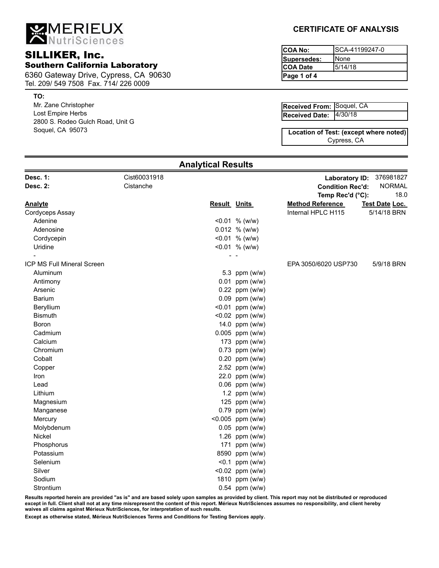MERIEUX

# SILLIKER, Inc. Southern California Laboratory

6360 Gateway Drive, Cypress, CA 90630 Tel. 209/ 549 7508 Fax. 714/ 226 0009

#### **TO:**

Mr. Zane Christopher Lost Empire Herbs 2800 S. Rodeo Gulch Road, Unit G Soquel, CA 95073

## **CERTIFICATE OF ANALYSIS**

| ICOA No:    | ISCA-41199247-0 |
|-------------|-----------------|
| Supersedes: | INone           |
| ICOA Date   | 5/14/18         |
| Page 1 of 4 |                 |

| <b>Received From: Soquel, CA</b> |  |
|----------------------------------|--|
| Received Date: 4/30/18           |  |

Cypress, CA **Location of Test: (except where noted)**

| <b>Analytical Results</b>         |              |                     |                          |                          |                |  |
|-----------------------------------|--------------|---------------------|--------------------------|--------------------------|----------------|--|
| <b>Desc. 1:</b>                   | Cist60031918 |                     |                          | <b>Laboratory ID:</b>    | 376981827      |  |
| Desc. 2:                          | Cistanche    |                     |                          | <b>Condition Rec'd:</b>  | <b>NORMAL</b>  |  |
|                                   |              |                     |                          | 18.0<br>Temp Rec'd (°C): |                |  |
| <b>Analyte</b>                    |              | <b>Result Units</b> |                          | <b>Method Reference</b>  | Test Date Loc. |  |
| Cordyceps Assay                   |              |                     |                          | Internal HPLC H115       | 5/14/18 BRN    |  |
| Adenine                           |              |                     | $< 0.01$ % (w/w)         |                          |                |  |
| Adenosine                         |              |                     | $0.012$ % (w/w)          |                          |                |  |
| Cordycepin                        |              |                     | $< 0.01$ % (w/w)         |                          |                |  |
| Uridine                           |              |                     | $< 0.01$ % (w/w)<br>$ -$ |                          |                |  |
| <b>ICP MS Full Mineral Screen</b> |              |                     |                          | EPA 3050/6020 USP730     | 5/9/18 BRN     |  |
| Aluminum                          |              |                     | 5.3 ppm (w/w)            |                          |                |  |
| Antimony                          |              |                     | $0.01$ ppm (w/w)         |                          |                |  |
| Arsenic                           |              |                     | $0.22$ ppm (w/w)         |                          |                |  |
| <b>Barium</b>                     |              |                     | $0.09$ ppm (w/w)         |                          |                |  |
| Beryllium                         |              |                     | $< 0.01$ ppm (w/w)       |                          |                |  |
| <b>Bismuth</b>                    |              |                     | $< 0.02$ ppm (w/w)       |                          |                |  |
| Boron                             |              |                     | 14.0 ppm (w/w)           |                          |                |  |
| Cadmium                           |              |                     | 0.005 ppm (w/w)          |                          |                |  |
| Calcium                           |              |                     | 173 ppm (w/w)            |                          |                |  |
| Chromium                          |              |                     | $0.73$ ppm (w/w)         |                          |                |  |
| Cobalt                            |              |                     | $0.20$ ppm (w/w)         |                          |                |  |
| Copper                            |              |                     | 2.52 ppm (w/w)           |                          |                |  |
| Iron                              |              |                     | 22.0 ppm (w/w)           |                          |                |  |
| Lead                              |              |                     | $0.06$ ppm (w/w)         |                          |                |  |
| Lithium                           |              |                     | 1.2 ppm $(w/w)$          |                          |                |  |
| Magnesium                         |              |                     | 125 ppm (w/w)            |                          |                |  |
| Manganese                         |              |                     | $0.79$ ppm (w/w)         |                          |                |  |
| Mercury                           |              |                     | <0.005 ppm (w/w)         |                          |                |  |
| Molybdenum                        |              |                     | $0.05$ ppm (w/w)         |                          |                |  |
| Nickel                            |              |                     | 1.26 ppm (w/w)           |                          |                |  |
| Phosphorus                        |              |                     | 171 ppm (w/w)            |                          |                |  |
| Potassium                         |              |                     | 8590 ppm (w/w)           |                          |                |  |
| Selenium                          |              |                     | $< 0.1$ ppm (w/w)        |                          |                |  |
| Silver                            |              |                     | <0.02 ppm (w/w)          |                          |                |  |
| Sodium                            |              |                     | 1810 ppm (w/w)           |                          |                |  |
| Strontium                         |              |                     | $0.54$ ppm (w/w)         |                          |                |  |

**Results reported herein are provided "as is" and are based solely upon samples as provided by client. This report may not be distributed or reproduced except in full. Client shall not at any time misrepresent the content of this report. Mérieux NutriSciences assumes no responsibility, and client hereby waives all claims against Mérieux NutriSciences, for interpretation of such results.**

**Except as otherwise stated, Mérieux NutriSciences Terms and Conditions for Testing Services apply.**